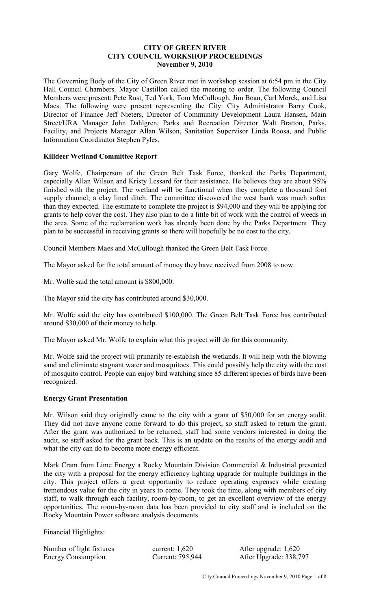## **CITY OF GREEN RIVER CITY COUNCIL WORKSHOP PROCEEDINGS November 9, 2010**

The Governing Body of the City of Green River met in workshop session at 6:54 pm in the City Hall Council Chambers. Mayor Castillon called the meeting to order. The following Council Members were present: Pete Rust, Ted York, Tom McCullough, Jim Boan, Carl Morck, and Lisa Maes. The following were present representing the City: City Administrator Barry Cook, Director of Finance Jeff Nieters, Director of Community Development Laura Hansen, Main Street/URA Manager John Dahlgren, Parks and Recreation Director Walt Bratton, Parks, Facility, and Projects Manager Allan Wilson, Sanitation Supervisor Linda Roosa, and Public Information Coordinator Stephen Pyles.

## **Killdeer Wetland Committee Report**

Gary Wolfe, Chairperson of the Green Belt Task Force, thanked the Parks Department, especially Allan Wilson and Kristy Lessard for their assistance. He believes they are about 95% finished with the project. The wetland will be functional when they complete a thousand foot supply channel; a clay lined ditch. The committee discovered the west bank was much softer than they expected. The estimate to complete the project is \$94,000 and they will be applying for grants to help cover the cost. They also plan to do a little bit of work with the control of weeds in the area. Some of the reclamation work has already been done by the Parks Department. They plan to be successful in receiving grants so there will hopefully be no cost to the city.

Council Members Maes and McCullough thanked the Green Belt Task Force.

The Mayor asked for the total amount of money they have received from 2008 to now.

Mr. Wolfe said the total amount is \$800,000.

The Mayor said the city has contributed around \$30,000.

Mr. Wolfe said the city has contributed \$100,000. The Green Belt Task Force has contributed around \$30,000 of their money to help.

The Mayor asked Mr. Wolfe to explain what this project will do for this community.

Mr. Wolfe said the project will primarily re-establish the wetlands. It will help with the blowing sand and eliminate stagnant water and mosquitoes. This could possibly help the city with the cost of mosquito control. People can enjoy bird watching since 85 different species of birds have been recognized.

## **Energy Grant Presentation**

Mr. Wilson said they originally came to the city with a grant of \$50,000 for an energy audit. They did not have anyone come forward to do this project, so staff asked to return the grant. After the grant was authorized to be returned, staff had some vendors interested in doing the audit, so staff asked for the grant back. This is an update on the results of the energy audit and what the city can do to become more energy efficient.

Mark Cram from Lime Energy a Rocky Mountain Division Commercial & Industrial presented the city with a proposal for the energy efficiency lighting upgrade for multiple buildings in the city. This project offers a great opportunity to reduce operating expenses while creating tremendous value for the city in years to come. They took the time, along with members of city staff, to walk through each facility, room-by-room, to get an excellent overview of the energy opportunities. The room-by-room data has been provided to city staff and is included on the Rocky Mountain Power software analysis documents.

Financial Highlights:

| Number of light fixtures  | curr |
|---------------------------|------|
| <b>Energy Consumption</b> | Cur. |

 $\text{Rent: } 1,620$  After upgrade: 1,620 rent: 795,944 After Upgrade: 338,797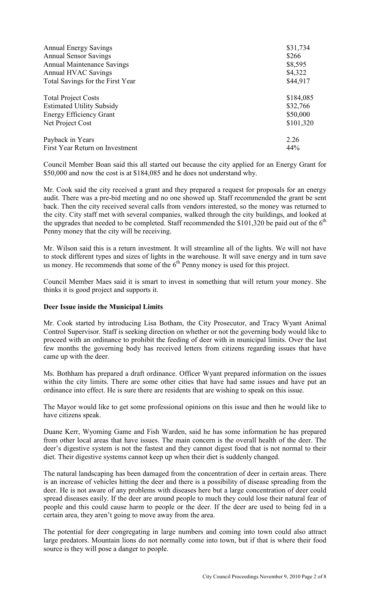| <b>Annual Energy Savings</b>      | \$31,734  |
|-----------------------------------|-----------|
| <b>Annual Sensor Savings</b>      | \$266     |
| <b>Annual Maintenance Savings</b> | \$8,595   |
| Annual HVAC Savings               | \$4,322   |
| Total Savings for the First Year  | \$44,917  |
| <b>Total Project Costs</b>        | \$184,085 |
| <b>Estimated Utility Subsidy</b>  | \$32,766  |
| <b>Energy Efficiency Grant</b>    | \$50,000  |
| Net Project Cost                  | \$101,320 |
| Payback in Years                  | 2.26      |
| First Year Return on Investment   | 44%       |

Council Member Boan said this all started out because the city applied for an Energy Grant for \$50,000 and now the cost is at \$184,085 and he does not understand why.

Mr. Cook said the city received a grant and they prepared a request for proposals for an energy audit. There was a pre-bid meeting and no one showed up. Staff recommended the grant be sent back. Then the city received several calls from vendors interested, so the money was returned to the city. City staff met with several companies, walked through the city buildings, and looked at the upgrades that needed to be completed. Staff recommended the  $$101,320$  be paid out of the  $6<sup>th</sup>$ Penny money that the city will be receiving.

Mr. Wilson said this is a return investment. It will streamline all of the lights. We will not have to stock different types and sizes of lights in the warehouse. It will save energy and in turn save us money. He recommends that some of the  $6<sup>th</sup>$  Penny money is used for this project.

Council Member Maes said it is smart to invest in something that will return your money. She thinks it is good project and supports it.

#### **Deer Issue inside the Municipal Limits**

Mr. Cook started by introducing Lisa Botham, the City Prosecutor, and Tracy Wyant Animal Control Supervisor. Staff is seeking direction on whether or not the governing body would like to proceed with an ordinance to prohibit the feeding of deer with in municipal limits. Over the last few months the governing body has received letters from citizens regarding issues that have came up with the deer.

Ms. Bothham has prepared a draft ordinance. Officer Wyant prepared information on the issues within the city limits. There are some other cities that have had same issues and have put an ordinance into effect. He is sure there are residents that are wishing to speak on this issue.

The Mayor would like to get some professional opinions on this issue and then he would like to have citizens speak.

Duane Kerr, Wyoming Game and Fish Warden, said he has some information he has prepared from other local areas that have issues. The main concern is the overall health of the deer. The deer's digestive system is not the fastest and they cannot digest food that is not normal to their diet. Their digestive systems cannot keep up when their diet is suddenly changed.

The natural landscaping has been damaged from the concentration of deer in certain areas. There is an increase of vehicles hitting the deer and there is a possibility of disease spreading from the deer. He is not aware of any problems with diseases here but a large concentration of deer could spread diseases easily. If the deer are around people to much they could lose their natural fear of people and this could cause harm to people or the deer. If the deer are used to being fed in a certain area, they aren't going to move away from the area.

The potential for deer congregating in large numbers and coming into town could also attract large predators. Mountain lions do not normally come into town, but if that is where their food source is they will pose a danger to people.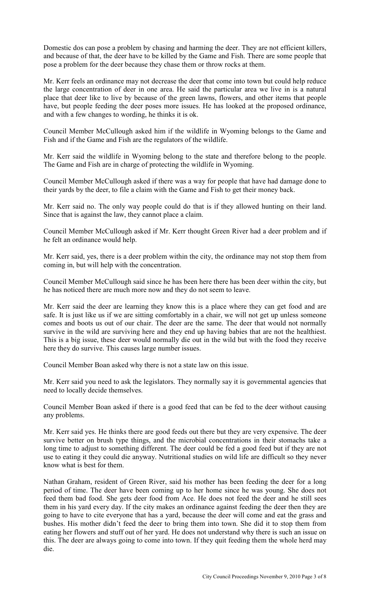Domestic dos can pose a problem by chasing and harming the deer. They are not efficient killers, and because of that, the deer have to be killed by the Game and Fish. There are some people that pose a problem for the deer because they chase them or throw rocks at them.

Mr. Kerr feels an ordinance may not decrease the deer that come into town but could help reduce the large concentration of deer in one area. He said the particular area we live in is a natural place that deer like to live by because of the green lawns, flowers, and other items that people have, but people feeding the deer poses more issues. He has looked at the proposed ordinance, and with a few changes to wording, he thinks it is ok.

Council Member McCullough asked him if the wildlife in Wyoming belongs to the Game and Fish and if the Game and Fish are the regulators of the wildlife.

Mr. Kerr said the wildlife in Wyoming belong to the state and therefore belong to the people. The Game and Fish are in charge of protecting the wildlife in Wyoming.

Council Member McCullough asked if there was a way for people that have had damage done to their yards by the deer, to file a claim with the Game and Fish to get their money back.

Mr. Kerr said no. The only way people could do that is if they allowed hunting on their land. Since that is against the law, they cannot place a claim.

Council Member McCullough asked if Mr. Kerr thought Green River had a deer problem and if he felt an ordinance would help.

Mr. Kerr said, yes, there is a deer problem within the city, the ordinance may not stop them from coming in, but will help with the concentration.

Council Member McCullough said since he has been here there has been deer within the city, but he has noticed there are much more now and they do not seem to leave.

Mr. Kerr said the deer are learning they know this is a place where they can get food and are safe. It is just like us if we are sitting comfortably in a chair, we will not get up unless someone comes and boots us out of our chair. The deer are the same. The deer that would not normally survive in the wild are surviving here and they end up having babies that are not the healthiest. This is a big issue, these deer would normally die out in the wild but with the food they receive here they do survive. This causes large number issues.

Council Member Boan asked why there is not a state law on this issue.

Mr. Kerr said you need to ask the legislators. They normally say it is governmental agencies that need to locally decide themselves.

Council Member Boan asked if there is a good feed that can be fed to the deer without causing any problems.

Mr. Kerr said yes. He thinks there are good feeds out there but they are very expensive. The deer survive better on brush type things, and the microbial concentrations in their stomachs take a long time to adjust to something different. The deer could be fed a good feed but if they are not use to eating it they could die anyway. Nutritional studies on wild life are difficult so they never know what is best for them.

Nathan Graham, resident of Green River, said his mother has been feeding the deer for a long period of time. The deer have been coming up to her home since he was young. She does not feed them bad food. She gets deer food from Ace. He does not feed the deer and he still sees them in his yard every day. If the city makes an ordinance against feeding the deer then they are going to have to cite everyone that has a yard, because the deer will come and eat the grass and bushes. His mother didn't feed the deer to bring them into town. She did it to stop them from eating her flowers and stuff out of her yard. He does not understand why there is such an issue on this. The deer are always going to come into town. If they quit feeding them the whole herd may die.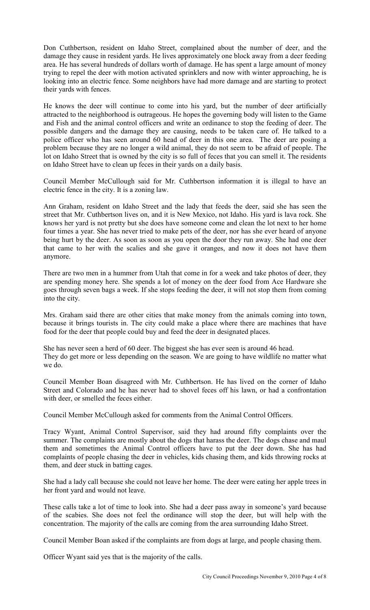Don Cuthbertson, resident on Idaho Street, complained about the number of deer, and the damage they cause in resident yards. He lives approximately one block away from a deer feeding area. He has several hundreds of dollars worth of damage. He has spent a large amount of money trying to repel the deer with motion activated sprinklers and now with winter approaching, he is looking into an electric fence. Some neighbors have had more damage and are starting to protect their yards with fences.

He knows the deer will continue to come into his yard, but the number of deer artificially attracted to the neighborhood is outrageous. He hopes the governing body will listen to the Game and Fish and the animal control officers and write an ordinance to stop the feeding of deer. The possible dangers and the damage they are causing, needs to be taken care of. He talked to a police officer who has seen around 60 head of deer in this one area. The deer are posing a problem because they are no longer a wild animal, they do not seem to be afraid of people. The lot on Idaho Street that is owned by the city is so full of feces that you can smell it. The residents on Idaho Street have to clean up feces in their yards on a daily basis.

Council Member McCullough said for Mr. Cuthbertson information it is illegal to have an electric fence in the city. It is a zoning law.

Ann Graham, resident on Idaho Street and the lady that feeds the deer, said she has seen the street that Mr. Cuthbertson lives on, and it is New Mexico, not Idaho. His yard is lava rock. She knows her yard is not pretty but she does have someone come and clean the lot next to her home four times a year. She has never tried to make pets of the deer, nor has she ever heard of anyone being hurt by the deer. As soon as soon as you open the door they run away. She had one deer that came to her with the scalies and she gave it oranges, and now it does not have them anymore.

There are two men in a hummer from Utah that come in for a week and take photos of deer, they are spending money here. She spends a lot of money on the deer food from Ace Hardware she goes through seven bags a week. If she stops feeding the deer, it will not stop them from coming into the city.

Mrs. Graham said there are other cities that make money from the animals coming into town, because it brings tourists in. The city could make a place where there are machines that have food for the deer that people could buy and feed the deer in designated places.

She has never seen a herd of 60 deer. The biggest she has ever seen is around 46 head. They do get more or less depending on the season. We are going to have wildlife no matter what we do.

Council Member Boan disagreed with Mr. Cuthbertson. He has lived on the corner of Idaho Street and Colorado and he has never had to shovel feces off his lawn, or had a confrontation with deer, or smelled the feces either.

Council Member McCullough asked for comments from the Animal Control Officers.

Tracy Wyant, Animal Control Supervisor, said they had around fifty complaints over the summer. The complaints are mostly about the dogs that harass the deer. The dogs chase and maul them and sometimes the Animal Control officers have to put the deer down. She has had complaints of people chasing the deer in vehicles, kids chasing them, and kids throwing rocks at them, and deer stuck in batting cages.

She had a lady call because she could not leave her home. The deer were eating her apple trees in her front yard and would not leave.

These calls take a lot of time to look into. She had a deer pass away in someone's yard because of the scabies. She does not feel the ordinance will stop the deer, but will help with the concentration. The majority of the calls are coming from the area surrounding Idaho Street.

Council Member Boan asked if the complaints are from dogs at large, and people chasing them.

Officer Wyant said yes that is the majority of the calls.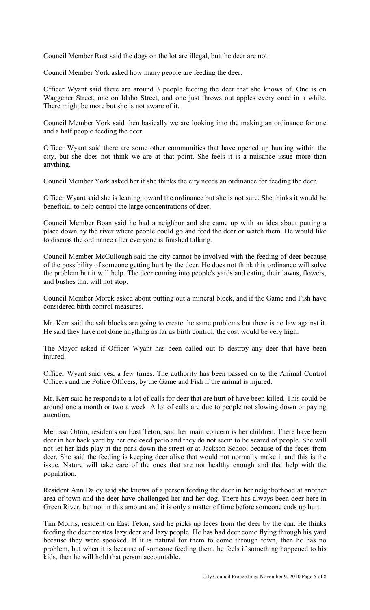Council Member Rust said the dogs on the lot are illegal, but the deer are not.

Council Member York asked how many people are feeding the deer.

Officer Wyant said there are around 3 people feeding the deer that she knows of. One is on Waggener Street, one on Idaho Street, and one just throws out apples every once in a while. There might be more but she is not aware of it.

Council Member York said then basically we are looking into the making an ordinance for one and a half people feeding the deer.

Officer Wyant said there are some other communities that have opened up hunting within the city, but she does not think we are at that point. She feels it is a nuisance issue more than anything.

Council Member York asked her if she thinks the city needs an ordinance for feeding the deer.

Officer Wyant said she is leaning toward the ordinance but she is not sure. She thinks it would be beneficial to help control the large concentrations of deer.

Council Member Boan said he had a neighbor and she came up with an idea about putting a place down by the river where people could go and feed the deer or watch them. He would like to discuss the ordinance after everyone is finished talking.

Council Member McCullough said the city cannot be involved with the feeding of deer because of the possibility of someone getting hurt by the deer. He does not think this ordinance will solve the problem but it will help. The deer coming into people's yards and eating their lawns, flowers, and bushes that will not stop.

Council Member Morck asked about putting out a mineral block, and if the Game and Fish have considered birth control measures.

Mr. Kerr said the salt blocks are going to create the same problems but there is no law against it. He said they have not done anything as far as birth control; the cost would be very high.

The Mayor asked if Officer Wyant has been called out to destroy any deer that have been injured.

Officer Wyant said yes, a few times. The authority has been passed on to the Animal Control Officers and the Police Officers, by the Game and Fish if the animal is injured.

Mr. Kerr said he responds to a lot of calls for deer that are hurt of have been killed. This could be around one a month or two a week. A lot of calls are due to people not slowing down or paying attention.

Mellissa Orton, residents on East Teton, said her main concern is her children. There have been deer in her back yard by her enclosed patio and they do not seem to be scared of people. She will not let her kids play at the park down the street or at Jackson School because of the feces from deer. She said the feeding is keeping deer alive that would not normally make it and this is the issue. Nature will take care of the ones that are not healthy enough and that help with the population.

Resident Ann Daley said she knows of a person feeding the deer in her neighborhood at another area of town and the deer have challenged her and her dog. There has always been deer here in Green River, but not in this amount and it is only a matter of time before someone ends up hurt.

Tim Morris, resident on East Teton, said he picks up feces from the deer by the can. He thinks feeding the deer creates lazy deer and lazy people. He has had deer come flying through his yard because they were spooked. If it is natural for them to come through town, then he has no problem, but when it is because of someone feeding them, he feels if something happened to his kids, then he will hold that person accountable.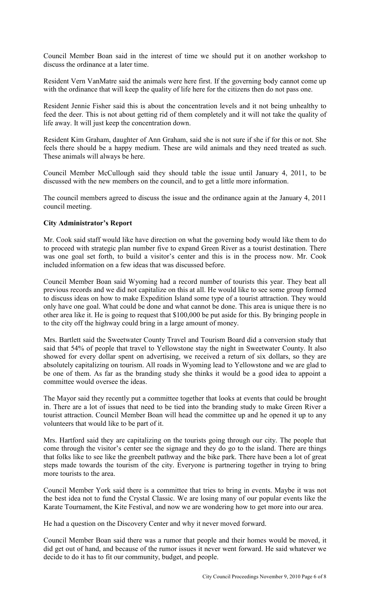Council Member Boan said in the interest of time we should put it on another workshop to discuss the ordinance at a later time.

Resident Vern VanMatre said the animals were here first. If the governing body cannot come up with the ordinance that will keep the quality of life here for the citizens then do not pass one.

Resident Jennie Fisher said this is about the concentration levels and it not being unhealthy to feed the deer. This is not about getting rid of them completely and it will not take the quality of life away. It will just keep the concentration down.

Resident Kim Graham, daughter of Ann Graham, said she is not sure if she if for this or not. She feels there should be a happy medium. These are wild animals and they need treated as such. These animals will always be here.

Council Member McCullough said they should table the issue until January 4, 2011, to be discussed with the new members on the council, and to get a little more information.

The council members agreed to discuss the issue and the ordinance again at the January 4, 2011 council meeting.

## **City Administrator's Report**

Mr. Cook said staff would like have direction on what the governing body would like them to do to proceed with strategic plan number five to expand Green River as a tourist destination. There was one goal set forth, to build a visitor's center and this is in the process now. Mr. Cook included information on a few ideas that was discussed before.

Council Member Boan said Wyoming had a record number of tourists this year. They beat all previous records and we did not capitalize on this at all. He would like to see some group formed to discuss ideas on how to make Expedition Island some type of a tourist attraction. They would only have one goal. What could be done and what cannot be done. This area is unique there is no other area like it. He is going to request that \$100,000 be put aside for this. By bringing people in to the city off the highway could bring in a large amount of money.

Mrs. Bartlett said the Sweetwater County Travel and Tourism Board did a conversion study that said that 54% of people that travel to Yellowstone stay the night in Sweetwater County. It also showed for every dollar spent on advertising, we received a return of six dollars, so they are absolutely capitalizing on tourism. All roads in Wyoming lead to Yellowstone and we are glad to be one of them. As far as the branding study she thinks it would be a good idea to appoint a committee would oversee the ideas.

The Mayor said they recently put a committee together that looks at events that could be brought in. There are a lot of issues that need to be tied into the branding study to make Green River a tourist attraction. Council Member Boan will head the committee up and he opened it up to any volunteers that would like to be part of it.

Mrs. Hartford said they are capitalizing on the tourists going through our city. The people that come through the visitor's center see the signage and they do go to the island. There are things that folks like to see like the greenbelt pathway and the bike park. There have been a lot of great steps made towards the tourism of the city. Everyone is partnering together in trying to bring more tourists to the area.

Council Member York said there is a committee that tries to bring in events. Maybe it was not the best idea not to fund the Crystal Classic. We are losing many of our popular events like the Karate Tournament, the Kite Festival, and now we are wondering how to get more into our area.

He had a question on the Discovery Center and why it never moved forward.

Council Member Boan said there was a rumor that people and their homes would be moved, it did get out of hand, and because of the rumor issues it never went forward. He said whatever we decide to do it has to fit our community, budget, and people.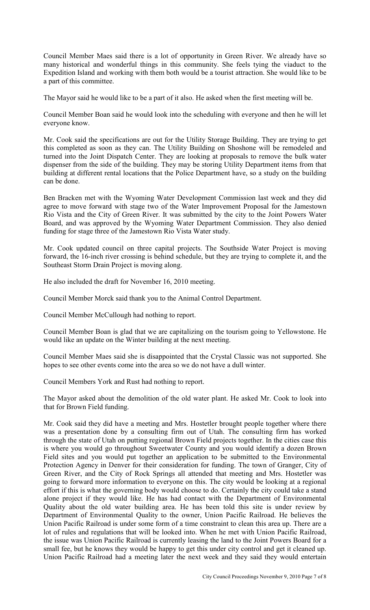Council Member Maes said there is a lot of opportunity in Green River. We already have so many historical and wonderful things in this community. She feels tying the viaduct to the Expedition Island and working with them both would be a tourist attraction. She would like to be a part of this committee.

The Mayor said he would like to be a part of it also. He asked when the first meeting will be.

Council Member Boan said he would look into the scheduling with everyone and then he will let everyone know.

Mr. Cook said the specifications are out for the Utility Storage Building. They are trying to get this completed as soon as they can. The Utility Building on Shoshone will be remodeled and turned into the Joint Dispatch Center. They are looking at proposals to remove the bulk water dispenser from the side of the building. They may be storing Utility Department items from that building at different rental locations that the Police Department have, so a study on the building can be done.

Ben Bracken met with the Wyoming Water Development Commission last week and they did agree to move forward with stage two of the Water Improvement Proposal for the Jamestown Rio Vista and the City of Green River. It was submitted by the city to the Joint Powers Water Board, and was approved by the Wyoming Water Department Commission. They also denied funding for stage three of the Jamestown Rio Vista Water study.

Mr. Cook updated council on three capital projects. The Southside Water Project is moving forward, the 16-inch river crossing is behind schedule, but they are trying to complete it, and the Southeast Storm Drain Project is moving along.

He also included the draft for November 16, 2010 meeting.

Council Member Morck said thank you to the Animal Control Department.

Council Member McCullough had nothing to report.

Council Member Boan is glad that we are capitalizing on the tourism going to Yellowstone. He would like an update on the Winter building at the next meeting.

Council Member Maes said she is disappointed that the Crystal Classic was not supported. She hopes to see other events come into the area so we do not have a dull winter.

Council Members York and Rust had nothing to report.

The Mayor asked about the demolition of the old water plant. He asked Mr. Cook to look into that for Brown Field funding.

Mr. Cook said they did have a meeting and Mrs. Hostetler brought people together where there was a presentation done by a consulting firm out of Utah. The consulting firm has worked through the state of Utah on putting regional Brown Field projects together. In the cities case this is where you would go throughout Sweetwater County and you would identify a dozen Brown Field sites and you would put together an application to be submitted to the Environmental Protection Agency in Denver for their consideration for funding. The town of Granger, City of Green River, and the City of Rock Springs all attended that meeting and Mrs. Hostetler was going to forward more information to everyone on this. The city would be looking at a regional effort if this is what the governing body would choose to do. Certainly the city could take a stand alone project if they would like. He has had contact with the Department of Environmental Quality about the old water building area. He has been told this site is under review by Department of Environmental Quality to the owner, Union Pacific Railroad. He believes the Union Pacific Railroad is under some form of a time constraint to clean this area up. There are a lot of rules and regulations that will be looked into. When he met with Union Pacific Railroad, the issue was Union Pacific Railroad is currently leasing the land to the Joint Powers Board for a small fee, but he knows they would be happy to get this under city control and get it cleaned up. Union Pacific Railroad had a meeting later the next week and they said they would entertain